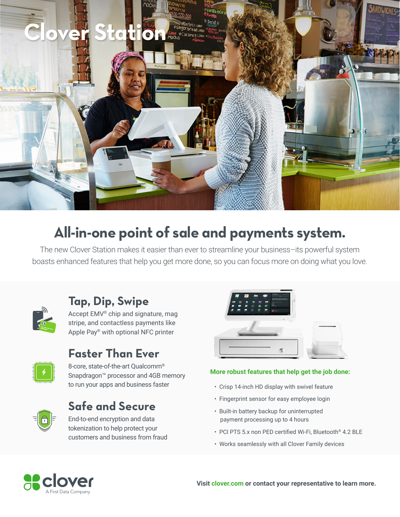

## **All-in-one point of sale and payments system.**

The new Clover Station makes it easier than ever to streamline your business–its powerful system boasts enhanced features that help you get more done, so you can focus more on doing what you love.



## **Tap, Dip, Swipe**

Accept EMV® chip and signature, mag stripe, and contactless payments like Apple Pay® with optional NFC printer



## **Faster Than Ever**

8-core, state-of-the-art Qualcomm® Snapdragon™ processor and 4GB memory to run your apps and business faster



## **Safe and Secure**

End-to-end encryption and data tokenization to help protect your customers and business from fraud



#### **More robust features that help get the job done:**

- Crisp 14-inch HD display with swivel feature
- Fingerprint sensor for easy employee login
- Built-in battery backup for uninterrupted payment processing up to 4 hours
- PCI PTS 5.x non PED certified Wi-Fi, Bluetooth® 4.2 BLE
- Works seamlessly with all Clover Family devices



**Visit clover.com or contact your representative to learn more.**